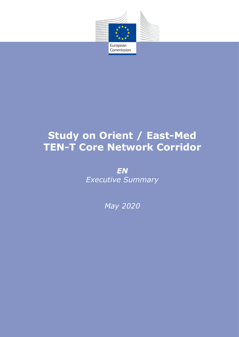

# **Study on Orient / East-Med TEN-T Core Network Corridor**

*EN Executive Summary*

*May 2020*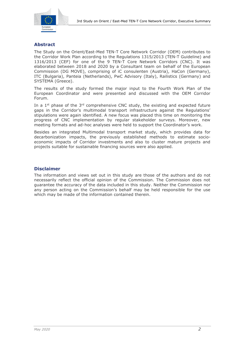

## **Abstract**

The Study on the Orient/East-Med TEN-T Core Network Corridor (OEM) contributes to the Corridor Work Plan according to the Regulations 1315/2013 (TEN-T Guideline) and 1316/2013 (CEF) for one of the 9 TEN-T Core Network Corridors (CNC). It was elaborated between 2018 and 2020 by a Consultant team on behalf of the European Commission (DG MOVE), comprising of iC consulenten (Austria), HaCon (Germany), ITC (Bulgaria), Panteia (Netherlands), PwC Advisory (Italy), Railistics (Germany) and SYSTEMA (Greece).

The results of the study formed the major input to the Fourth Work Plan of the European Coordinator and were presented and discussed with the OEM Corridor Forum.

In a 1<sup>st</sup> phase of the  $3<sup>rd</sup>$  comprehensive CNC study, the existing and expected future gaps in the Corridor's multimodal transport infrastructure against the Regulations' stipulations were again identified. A new focus was placed this time on monitoring the progress of CNC implementation by regular stakeholder surveys. Moreover, new meeting formats and ad-hoc analyses were held to support the Coordinator's work.

Besides an integrated Multimodal transport market study, which provides data for decarbonization impacts, the previously established methods to estimate socioeconomic impacts of Corridor investments and also to cluster mature projects and projects suitable for sustainable financing sources were also applied.

## **Disclaimer**

The information and views set out in this study are those of the authors and do not necessarily reflect the official opinion of the Commission. The Commission does not guarantee the accuracy of the data included in this study. Neither the Commission nor any person acting on the Commission's behalf may be held responsible for the use which may be made of the information contained therein.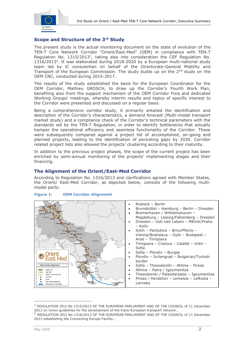

# **Scope and Structure of the 3 rd Study**

The present study is the actual monitoring document on the state of evolution of the TEN-T Core Network Corridor "Orient/East-Med" (OEM) in compliance with TEN-T Regulation No. 1315/2013<sup>1</sup>, taking also into consideration the CEF Regulation No.  $1316/2013<sup>2</sup>$ . It was elaborated during 2018-2020 by a European multi-national study team led by iC consulenten on behalf of the Directorate-General Mobility and Transport of the European Commission. The study builds up on the  $2<sup>nd</sup>$  study on the OEM CNC, conducted during 2015-2017.

The results of the study established the basis for the European Coordinator for the OEM Corridor, Mathieu GROSCH, to draw up the Corridor's Fourth Work Plan, benefiting also from the support mechanism of the OEM Corridor Fora and dedicated Working Groups' meetings, whereby interim results and topics of specific interest to the Corridor were presented and discussed on a regular basis.

Being a comprehensive corridor study, it primarily entailed the identification and description of the Corridor's characteristics, a demand forecast (Multi-modal transport market study) and a compliance check of the Corridor's technical parameters with the standards set by the TEN-T Regulation, in order to identify bottlenecks that actually hamper the operational efficiency and seamless functionality of the Corridor. These were subsequently compared against a project list of accomplished, on-going and planned projects, leading to the identification of persisting gaps by 2030. Corridor related project lists also allowed the projects' clustering according to their maturity.

In addition to the previous project phases, the scope of the current project has been enriched by semi-annual monitoring of the projects' implementing stages and their financing.

## **The Alignment of the Orient/East-Med Corridor**

According to Regulation No. 1316/2013 and clarifications agreed with Member States, the Orient/ East-Med Corridor, as depicted below, consists of the following multimodal parts:



#### **Figure 1: OEM Corridor Alignment**

<sup>1</sup> REGULATION (EU) No 1315/2013 OF THE EUROPEAN PARLIAMENT AND OF THE COUNCIL of 11 December 2013 on Union guidelines for the development of the trans-European transport network…

 $^2$  REGULATION (EU) No 1316/2013 OF THE EUROPEAN PARLIAMENT AND OF THE COUNCIL of 11 December 2013 establishing the Connecting Europe Facility…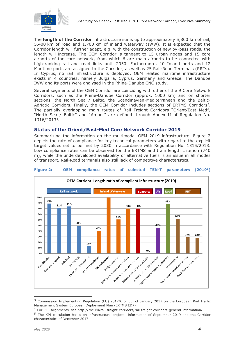

The **length of the Corridor** infrastructure sums up to approximately 5,800 km of rail, 5,400 km of road and 1,700 km of inland waterway (IWW). It is expected that the Corridor length will further adapt, e.g. with the construction of new by-pass roads, the length will increase. The OEM Corridor is tangent to 15 urban nodes and 15 core airports of the core network, from which 6 are main airports to be connected with high-ranking rail and road links until 2050. Furthermore, 10 Inland ports and 12 Maritime ports are assigned to the Corridor, as well as 25 Rail-Road Terminals (RRTs). In Cyprus, no rail infrastructure is deployed. OEM related maritime infrastructure exists in 4 countries, namely Bulgaria, Cyprus, Germany and Greece. The Danube IWW and its ports were analysed in the Rhine-Danube CNC study.

Several segments of the OEM Corridor are coinciding with other of the 9 Core Network Corridors, such as the Rhine-Danube Corridor (approx. 1000 km) and on shorter sections, the North Sea / Baltic, the Scandinavian-Mediterranean and the Baltic-Adriatic Corridors. Finally, the OEM Corridor includes sections of ERTMS Corridors<sup>3</sup>. The partially overlapping main routes of Rail Freight Corridors "Orient/East Med", "North Sea / Baltic" and "Amber" are defined through Annex II of Regulation No. 1316/2013<sup>4</sup> .

## **Status of the Orient/East-Med Core Network Corridor 2019**

Summarizing the information on the multimodal OEM 2019 infrastructure, Figure 2 depicts the rate of compliance for key technical parameters with regard to the explicit target values set to be met by 2030 in accordance with Regulation No. 1315/2013. Low compliance rates can be observed for the ERTMS and train length criterion (740 m), while the underdeveloped availability of alternative fuels is an issue in all modes of transport. Rail-Road terminals also still lack of competitive characteristics.



#### **Figure 2: OEM compliance rates of selected TEN-T parameters (2019<sup>5</sup>)**

<sup>&</sup>lt;sup>3</sup> Commission Implementing Regulation (EU) 2017/6 of 5th of January 2017 on the European Rail Traffic Management System European Deployment Plan (ERTMS EDP)

<sup>4</sup> For RFC alignments, see http://rne.eu/rail-freight-corridors/rail-freight-corridors-general-information/

<sup>&</sup>lt;sup>5</sup> The KPI calculation bases on infrastructure projects' information of September 2019 and the Corridor characteristics of December 2017.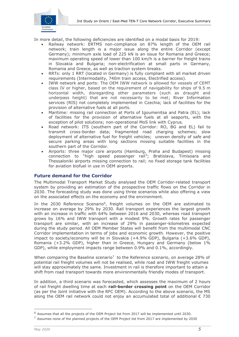

In more detail, the following deficiencies are identified on a modal basis for 2019:

- Railway network: ERTMS non-compliance on 87% length of the OEM rail network; train length is a major issue along the entire Corridor (except Germany); minimum axle load of 225 kN is an issue for Romania and Greece; maximum operating speed of lower than 100 km/h is a barrier for freight trains in Slovakia and Bulgaria; non-electrification at small parts in Germany, Romania and Greece, as well as traction system breaks.
- RRTs: only 1 RRT (located in Germany) is fully compliant with all market driven requirements (Intermodality, 740m train access, Electrified access).
- IWW network and ports: The OEM IWW network is allowed for vessels of CEMT class IV or higher, based on the requirement of navigability for ships of 9.5 m horizontal width, disregarding other parameters (such as draught and underpass height) that are not necessarily to be met; River Information services (RIS) not completely implemented in Czechia; lack of facilities for the provision of alternative fuels at all ports.
- Maritime: missing rail connection at Ports of Igoumenitsa and Patra (EL); lack of facilities for the provision of alternative fuels at all seaports, with the exception of pilot solutions; non-operational MoS link with Cyprus.
- Road network: ITS (southern part of the Corridor: RO, BG and EL) fail to transmit cross-border data; fragmented road charging schemes; slow deployment of alternative fuel for freight vehicles; uneven density of safe and secure parking areas with long sections missing suitable facilities in the southern part of the Corridor.
- Airports: three major core airports (Hamburg, Praha and Budapest) missing connection to "high speed passenger rail"; Bratislava, Timisoara and Thessaloniki airports missing connection to rail; no fixed storage tank facilities for aviation biofuel in use in OEM airports.

#### **Future demand for the Corridor**

The Multimodal Transport Market Study analysed the OEM Corridor-related transport system by providing an estimation of the prospective traffic flows on the Corridor in 2030. The forecasting study was done using three scenarios while also offering a view on the associated effects on the economy and the environment.

In the 2030 Reference Scenario<sup>6</sup>, freight volumes on the OEM are estimated to increase on average by 29% by 2030. Rail transport experiences the largest growth with an increase in traffic with 64% between 2016 and 2030, whereas road transport grows by 16% and IWW transport with a modest 9%. Growth rates for passenger transport are similar, with an increase of 29% in passenger-kilometres expected during the study period. All OEM Member States will benefit from the multimodal CNC Corridor implementation in terms of jobs and economic growth. However, the positive impact to society/economy will be in Slovakia (+4.9% GDP), Bulgaria (+3.6% GDP), Romania (+3.2% GDP), higher than in Greece, Hungary and Germany (below 1% GDP), while employment impacts range between 0.9% and 0.1%, accordingly.

When comparing the Baseline scenario<sup>7</sup> to the Reference scenario, on average 28% of potential rail freight volumes will not be realised, while road and IWW freight volumes will stay approximately the same. Investment in rail is therefore important to attain a shift from road transport towards more environmentally friendly modes of transport.

In addition, a third scenario was forecasted, which assesses the maximum of 2 hours of rail freight dwelling time at each **rail-border crossing point** on the OEM Corridor (as per the Joint initiative with the RFC OEM). According to the above scenario, the MS along the OEM rail network could not enjoy an accumulated total of additional  $\epsilon$  730

<sup>&</sup>lt;sup>6</sup> Assumes that all the projects of the OEM Project list from 2017 will be implemented until 2030.

 $7$  Assumes none of the planned projects of the OEM Project list from 2017 are implemented by 2030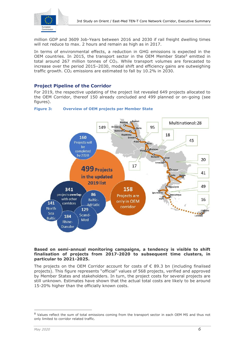

million GDP and 3609 Job-Years between 2016 and 2030 if rail freight dwelling times will not reduce to max. 2 hours and remain as high as in 2017.

In terms of environmental effects, a reduction in GHG emissions is expected in the OEM countries. In 2015, the transport sector in the OEM Member State<sup>8</sup> emitted in total around 267 million tonnes of  $CO<sub>2</sub>$ . While transport volumes are forecasted to increase over the period 2015–2030, modal shift and efficiency gains are outweighing traffic growth.  $CO<sub>2</sub>$  emissions are estimated to fall by 10.2% in 2030.

# **Project Pipeline of the Corridor**

For 2019, the respective updating of the project list revealed 649 projects allocated to the OEM Corridor, thereof 150 already concluded and 499 planned or on-going (see figures).





#### **Based on semi-annual monitoring campaigns, a tendency is visible to shift finalisation of projects from 2017-2020 to subsequent time clusters, in particular to 2021-2025.**

The projects on the OEM Corridor account for costs of  $\epsilon$  89.3 bn (including finalised projects). This figure represents "official" values of 568 projects, verified and approved by Member States and stakeholders. In turn, the project costs for several projects are still unknown. Estimates have shown that the actual total costs are likely to be around 15-20% higher than the officially known costs.

<sup>&</sup>lt;sup>8</sup> Values reflect the sum of total emissions coming from the transport sector in each OEM MS and thus not only limited to corridor related traffic.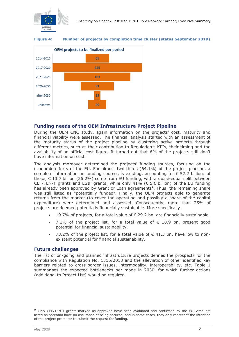

**Figure 4: Number of projects by completion time cluster (status September 2019)**



### **Funding needs of the OEM Infrastructure Project Pipeline**

During the OEM CNC study, again information on the projects' cost, maturity and financial viability were assessed. The financial analysis started with an assessment of the maturity status of the project pipeline by clustering active projects through different metrics, such as their contribution to Regulation's KPIs, their timing and the availability of an official cost figure. It turned out that 6% of the projects still don't have information on cost.

The analysis moreover determined the projects' funding sources, focusing on the economic efforts of the EU. For almost two thirds (64.1%) of the project pipeline, a complete information on funding sources is existing, accounting for  $\epsilon$  52.2 billion: of those,  $\epsilon$  13.7 billion (26.2%) come from EU funding, with a quasi-equal split between CEF/TEN-T grants and ESIF grants, while only 41% ( $\epsilon$  5.6 billion) of the EU funding has already been approved by Grant or Loan agreements<sup>9</sup>. Thus, the remaining share was still listed as "potentially funded". Finally, the OEM projects able to generate returns from the market (to cover the operating and possibly a share of the capital expenditure) were determined and assessed. Consequently, more than 25% of projects are deemed potentially financially sustainable. More specifically:

- 19.7% of projects, for a total value of  $\epsilon$  29.2 bn, are financially sustainable.
- 7.1% of the project list, for a total value of  $\epsilon$  10.9 bn, present good potential for financial sustainability.
- 73.2% of the project list, for a total value of  $\epsilon$  41.3 bn, have low to nonexistent potential for financial sustainability.

#### **Future challenges**

The list of on-going and planned infrastructure projects defines the prospects for the compliance with Regulation No. 1315/2013 and the alleviation of other identified key barriers related to cross-border issues, intermodality, interoperability, etc. Table 1 summarises the expected bottlenecks per mode in 2030, for which further actions (additional to Project List) would be required.

<sup>&</sup>lt;sup>9</sup> Only CEF/TEN-T grants marked as approved have been evaluated and confirmed by the EU. Amounts listed as potential have no assurance of being secured, and in some cases, they only represent the intention of the project promoter to submit the request for funding.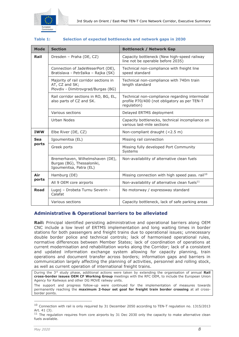

#### **Table 1: Selection of expected bottlenecks and network gaps in 2030**

| <b>Mode</b>         | <b>Section</b>                                                                                | <b>Bottleneck / Network Gap</b>                                                                              |
|---------------------|-----------------------------------------------------------------------------------------------|--------------------------------------------------------------------------------------------------------------|
| Rail                | Dresden - Praha (DE, CZ)                                                                      | Capacity bottleneck (New high-speed railway<br>line not be operable before 2035)                             |
|                     | Connection of JadeWeserPort (DE),<br>Bratislava - Petržalka - Rajka (SK)                      | Technical non-compliance with freight line<br>speed standard                                                 |
|                     | Majority of rail corridor sections in<br>AT, CZ and SK;<br>Plovdiv - Dimitrovgrad/Burgas (BG) | Technical non-compliance with 740m train<br>length standard                                                  |
|                     | Rail corridor sections in RO, BG, EL,<br>also parts of CZ and SK.                             | Technical non-compliance regarding intermodal<br>profile P70/400 (not obligatory as per TEN-T<br>regulation) |
|                     | Various sections                                                                              | Delayed ERTMS deployment                                                                                     |
|                     | Urban Nodes                                                                                   | Capacity bottlenecks, technical incompliance on<br>various last-mile sections                                |
| <b>IWW</b>          | Elbe River (DE, CZ)                                                                           | Non-compliant draught (<2.5 m)                                                                               |
| <b>Sea</b><br>ports | Igoumenitsa (EL)                                                                              | Missing rail connection                                                                                      |
|                     | Greek ports                                                                                   | Missing fully developed Port Community<br>Systems                                                            |
|                     | Bremerhaven, Wilhelmshaven (DE),<br>Burgas (BG), Thessaloniki,<br>Igoumenitsa, Patra (EL)     | Non-availability of alternative clean fuels                                                                  |
| Air<br>ports        | Hamburg (DE)                                                                                  | Missing connection with high speed pass. rail <sup>10</sup>                                                  |
|                     | All 9 OEM core airports                                                                       | Non-availability of alternative clean fuels <sup>11</sup>                                                    |
| <b>Road</b>         | Lugoj - Drobeta Turnu Severin -<br>Calafat                                                    | No motorway / expressway standard                                                                            |
|                     | Various sections                                                                              | Capacity bottleneck, lack of safe parking areas                                                              |

#### **Administrative & Operational barriers to be alleviated**

**Rail:** Principal identified persisting administrative and operational barriers along OEM CNC include a low level of ERTMS implementation and long waiting times in border stations for both passengers and freight trains due to operational issues; unnecessary double border police and technical controls; lack of harmonised operational rules, normative differences between Member States; lack of coordination of operations at current modernisation and rehabilitation works along the Corridor; lack of a consistent and updated information exchange system allowing for capacity planning, train operations and document transfer across borders; information gaps and barriers in communication largely affecting the planning of activities, personnel and rolling stock, as well as current operation of international freight trains.

During the 3rd study phase, additional actions were taken by extending the organisation of annual **Rail cross-border issues OEM CF Working Group** meetings with the RFC OEM, to include the European Union Agency for Railways and other DG MOVE railway units.

The support and progress follow-up were continued for the implementation of measures towards permanently reaching the **maximum 2-hour set goal for freight train border crossing** at all crossborder points.

<sup>10</sup> Connection with rail is only required by 31 December 2050 according to TEN-T regulation no. 1315/2013 Art. 41 (3).

 $11$  The regulation reguires from core airports by 31 Dec 2030 only the capacity to make alternative clean fuels available.